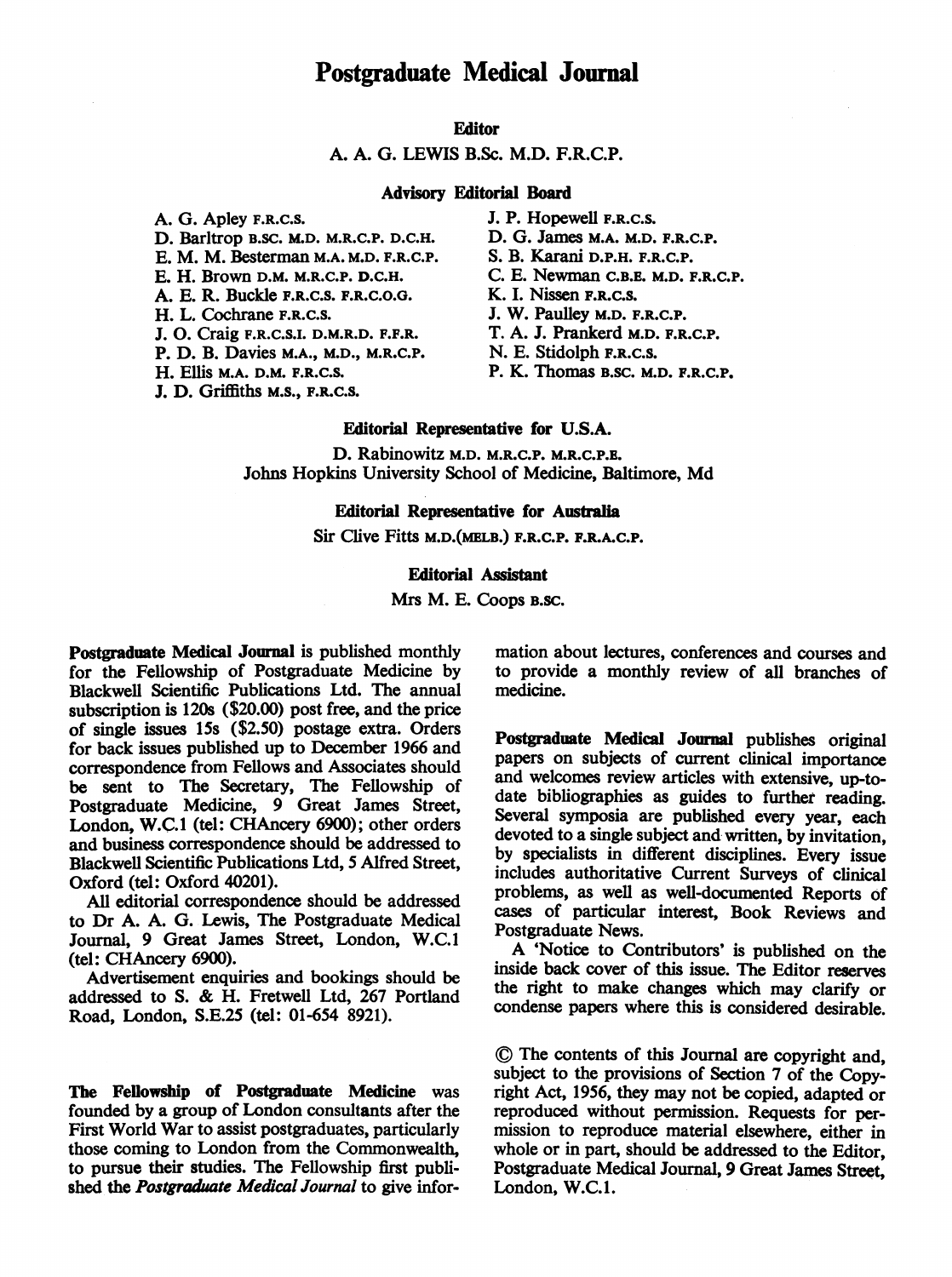# Postgraduate Medical Journal

## Editor

A. A. G. LEWIS B.Sc. M.D. F.R.C.P.

## Advisory Editorial Board

A. G. Apley F.R.C.S. D. Barltrop B.SC. M.D. M.R.C.P. D.C.H. E. M. M. Besterman M.A. M.D. F.R.C.P. E. H. Brown D.M. M.R.C.P. D.C.H. A. E. R. Buckle F.R.C.S. F.R.C.O.G. H. L. Cochrane F.R.C.S. J. 0. Craig F.R.C.S.I. D.M.R.D. F.F.R. P. D. B. Davies M.A., M.D., M.R.C.P. H. Ellis M.A. D.M. F.R.C.S.

J. D. Griffiths M.S., F.R.C.S.

J. P. Hopewell F.R.C.S. D. G. James M.A. M.D. F.R.C.P. S. B. Karani D.P.H. F.R.C.P. C. E. Newman C.B.E. M.D. F.R.C.P. K. I. Nissen F.R.C.S. J. W. Paulley M.D. F.R.C.P. T. A. J. Prankerd M.D. F.R.C.P. N. E. Stidolph F.R.C.S. P. K. Thomas B.SC. M.D. F.R.C.P.

## Editorial Representative for U.S.A.

D. Rabinowitz M.D. M.R.C.P. M.R.C.P.E. Johns Hopkins University School of Medicine, Baltimore, Md

## Editorial Representative for Australi

Sir Clive Fitts M.D.(MELB.) F.R.C.P. F.R.A.C.P.

## Editorial Assistant

Mrs M. E. Coops B.SC.

Postgraduate Medical Journal is published monthly for the Fellowship of Postgraduate Medicine by Blackwell Scientific Publications Ltd. The annual subscription is 120s (\$20.00) post free, and the price of single issues l5s (\$2.50) postage extra. Orders for back issues published up to December 1966 and correspondence from Fellows and Associates should be sent to The Secretary, The Fellowship of Postgraduate Medicine, 9 Great James Street, London, W.C.1 (tel: CHAncery 6900); other orders and business correspondence should be addressed to Blackwell Scientific Publications Ltd, 5 Alfred Street, Oxford (tel: Oxford 40201).

All editorial correspondence should be addressed to Dr A. A. G. Lewis, The Postgraduate Medical Journal, 9 Great James Street, London, W.C.1 (tel: CHAncery 6900).

Advertisement enquiries and bookings should be addressed to S. & H. Fretwell Ltd, <sup>267</sup> Portland Road, London, S.E.25 (tel: 01-654 8921).

The Fellowship of Postgraduate Medicine was founded by a group of London consultants after the First World War to assist postgraduates, particularly those coming to London from the Commonwealth, to pursue their studies. The Fellowship first published the Postgraduate Medical Journal to give information about lectures, conferences and courses and to provide a monthly review of all branches of medicine.

Postgraduate Medical Journal publishes original papers on subjects of current clinical importance and welcomes review articles with extensive, up-todate bibliographies as guides to further reading. Several symposia are published every year, each devoted to a single subject and written, by invitation, by specialists in different disciplines. Every issue includes authoritative Current Surveys of clinical problems, as well as well-documented Reports of cases of particular interest, Book Reviews and Postgraduate News.

A 'Notice to Contributors' is published on the inside back cover of this issue. The Editor reserves the right to make changes which may clarify or condense papers where this is considered desirable.

(D The contents of this Journal are copyright and, subject to the provisions of Section 7 of the Copyright Act, 1956, they may not be copied, adapted or reproduced without permission. Requests for permission to reproduce material elsewhere, either in whole or in part, should be addressed to the Editor, Postgraduate Medical Journal, 9 Great James Street, London, W.C.1.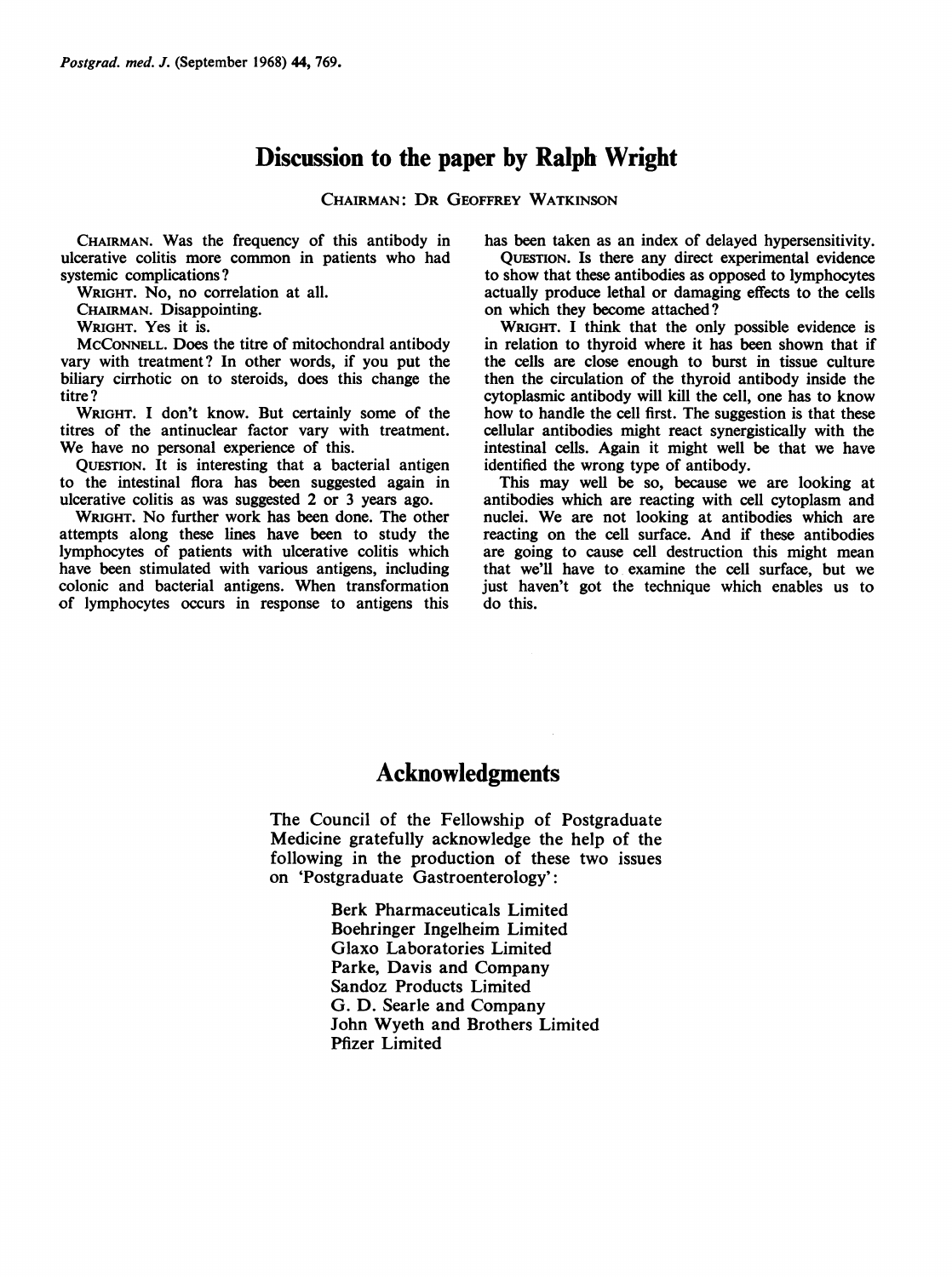# Discussion to the paper by Ralph Wright

CHAIRMAN: DR GEOFFREY WATKINSON

CHAIRMAN. Was the frequency of this antibody in ulcerative colitis more common in patients who had systemic complications?

WRIGHT. No, no correlation at all.

CHAIRMAN. Disappointing.

WRIGHT. Yes it is.

MCCONNELL. Does the titre of mitochondral antibody vary with treatment? In other words, if you put the biliary cirrhotic on to steroids, does this change the titre ?

WRIGHT. <sup>I</sup> don't know. But certainly some of the titres of the antinuclear factor vary with treatment. We have no personal experience of this.

QUESTION. It is interesting that a bacterial antigen to the intestinal flora has been suggested again in ulcerative colitis as was suggested 2 or 3 years ago.

WRIGHT. No further work has been done. The other attempts along these lines have been to study the lymphocytes of patients with ulcerative colitis which have been stimulated with various antigens, including colonic and bacterial antigens. When transformation of lymphocytes occurs in response to antigens this

has been taken as an index of delayed hypersensitivity.

QUESTION. Is there any direct experimental evidence to show that these antibodies as opposed to lymphocytes actually produce lethal or damaging effects to the cells on which they become attached?

WRIGHT. I think that the only possible evidence is in relation to thyroid where it has been shown that if the cells are close enough to burst in tissue culture then the circulation of the thyroid antibody inside the cytoplasmic antibody will kill the cell, one has to know how to handle the cell first. The suggestion is that these cellular antibodies might react synergistically with the intestinal cells. Again it might well be that we have identified the wrong type of antibody.

This may well be so, because we are looking at antibodies which are reacting with cell cytoplasm and nuclei. We are not looking at antibodies which are reacting on the cell surface. And if these antibodies are going to cause cell destruction this might mean that we'll have to examine the cell surface, but we just haven't got the technique which enables us to do this.

# Acknowledgments

The Council of the Fellowship of Postgraduate Medicine gratefully acknowledge the help of the following in the production of these two issues on 'Postgraduate Gastroenterology':

> Berk Pharmaceuticals Limited Boehringer Ingelheim Limited Glaxo Laboratories Limited Parke, Davis and Company Sandoz Products Limited G. D. Searle and Company John Wyeth and Brothers Limited Pfizer Limited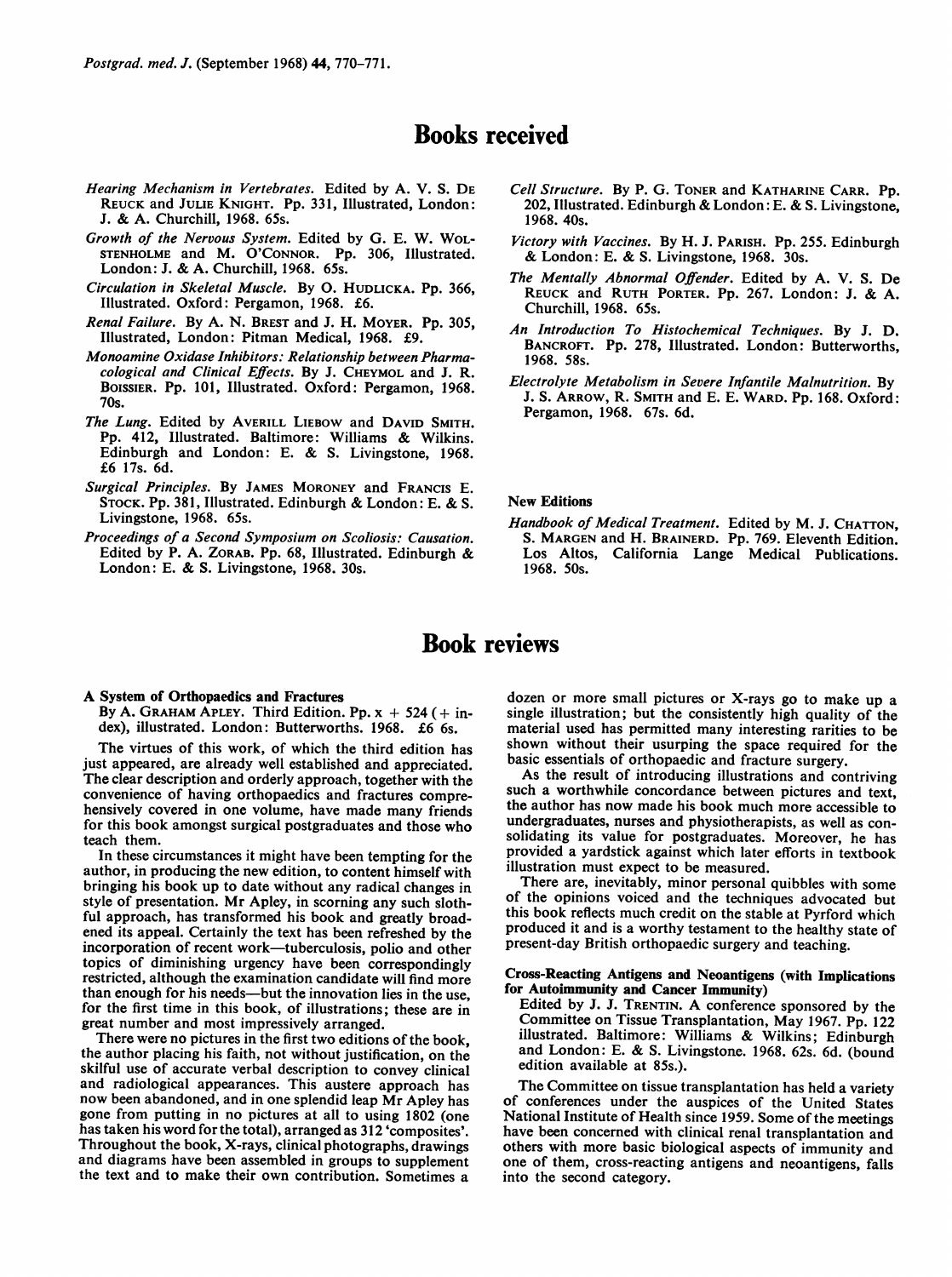Postgrad. med. J. (September 1968) 44, 770-771.

# Books received

- Hearing Mechanism in Vertebrates. Edited by A. V. S. DE REUCK and JULIE KNIGHT. Pp. 331, Illustrated, London: J. & A. Churchill, 1968. 65s.
- Growth of the Nervous System. Edited by G. E. W. WOL-STENHOLME and M. O'CONNOR. Pp. 306, Illustrated. London: J. & A. Churchill, 1968. 65s.
- Circulation in Skeletal Muscle. By 0. HUDLICKA. Pp. 366, Illustrated. Oxford: Pergamon, 1968. £6.
- Renal Failure. By A. N. BREST and J. H. MOYER. Pp. 305, Illustrated, London: Pitman Medical, 1968. £9.
- Monoamine Oxidase Inhibitors: Relationship between Pharmacological and Clinical Effects. By J. CHEYMOL and J. R. BOISSIER. Pp. 101, Illustrated. Oxford: Pergamon, 1968. 70s.
- The Lung. Edited by AVERILL LIEBOW and DAVID SMITH. Pp. 412, Illustrated. Baltimore: Williams & Wilkins. Edinburgh and London: E. & S. Livingstone, 1968. £6 17s. 6d.
- Surgical Principles. By JAMES MORONEY and FRANCIS E. STOCK. Pp. 381, Illustrated. Edinburgh & London: E. & S. Livingstone, 1968. 65s.
- Proceedings of a Second Symposium on Scoliosis: Causation. Edited by P. A. ZORAB. Pp. 68, Illustrated. Edinburgh & London: E. & S. Livingstone, 1968. 30s.
- Cell Structure. By P. G. TONER and KATHARINE CARR. Pp. 202, Illustrated. Edinburgh & London: E. & S. Livingstone, 1968. 40s.
- Victory with Vaccines. By H. J. PARISH. Pp. 255. Edinburgh & London: E. & S. Livingstone, 1968. 30s.
- The Mentally Abnormal Offender. Edited by A. V. S. De REUCK and RUTH PORTER. Pp. 267. London: J. & A. Churchill, 1968. 65s.
- An Introduction To Histochemical Techniques. By J. D. BANCROFT. Pp. 278, Illustrated. London: Butterworths, 1968. 58s.
- Electrolyte Metabolism in Severe Infantile Malnutrition. By J. S. ARROW, R. SMITH and E. E. WARD. Pp. 168. Oxford: Pergamon, 1968. 67s. 6d.

#### New Editions

Handbook of Medical Treatment. Edited by M. J. CHATTON, S. MARGEN and H. BRAINERD. Pp. 769. Eleventh Edition. Los Altos, California Lange Medical Publications. 1968. 50s.

# Book reviews

### A System of Orthopaedics and Fractures

By A. GRAHAM APLEY. Third Edition. Pp.  $x + 524$  (+ index), illustrated. London: Butterworths. 1968. £6 6s.

The virtues of this work, of which the third edition has just appeared, are already well established and appreciated. The clear description and orderly approach, together with the convenience of having orthopaedics and fractures comprehensively covered in one volume, have made many friends for this book amongst surgical postgraduates and those who teach them.

In these circumstances it might have been tempting for the author, in producing the new edition, to content himself with bringing his book up to date without any radical changes in style of presentation. Mr Apley, in scorning any such slothful approach, has transformed his book and greatly broadened its appeal. Certainly the text has been refreshed by the incorporation of recent work-tuberculosis, polio and other topics of diminishing urgency have been correspondingly restricted, although the examination candidate will find more than enough for his needs--but the innovation lies in the use, for the first time in this book, of illustrations; these are in great number and most impressively arranged.

There were no pictures in the first two editions of the book, the author placing his faith, not without justification, on the skilful use of accurate verbal description to convey clinical and radiological appearances. This austere approach has now been abandoned, and in one splendid leap Mr Apley has gone from putting in no pictures at all to using 1802 (one has taken his word for the total), arranged as 312 'composites'. Throughout the book, X-rays, clinical photographs, drawings and diagrams have been assembled in groups to supplement the text and to make their own contribution. Sometimes a

dozen or more small pictures or X-rays go to make up a single illustration; but the consistently high quality of the material used has permitted many interesting rarities to be shown without their usurping the space required for the basic essentials of orthopaedic and fracture surgery.

As the result of introducing illustrations and contriving such a worthwhile concordance between pictures and text, the author has now made his book much more accessible to undergraduates, nurses and physiotherapists, as well as consolidating its value for postgraduates. Moreover, he has provided a yardstick against which later efforts in textbook illustration must expect to be measured.

There are, inevitably, minor personal quibbles with some of the opinions voiced and the techniques advocated but this book reflects much credit on the stable at Pyrford which produced it and is a worthy testament to the healthy state of present-day British orthopaedic surgery and teaching.

#### Cross-Reacting Antigens and Neoantigens (with Implications for Autoimmunity and Cancer Immunity)

Edited by J. J. TRENTIN. A conference sponsored by the Committee on Tissue Transplantation, May 1967. Pp. 122 illustrated. Baltimore: Williams & Wilkins; Edinburgh and London: E. & S. Livingstone. 1968. 62s. 6d. (bound edition available at 85s.).

The Committee on tissue transplantation has held a variety of conferences under the auspices of the United States National Institute of Health since 1959. Some of the meetings have been concerned with clinical renal transplantation and others with more basic biological aspects of immunity and one of them, cross-reacting antigens and neoantigens, falls into the second category.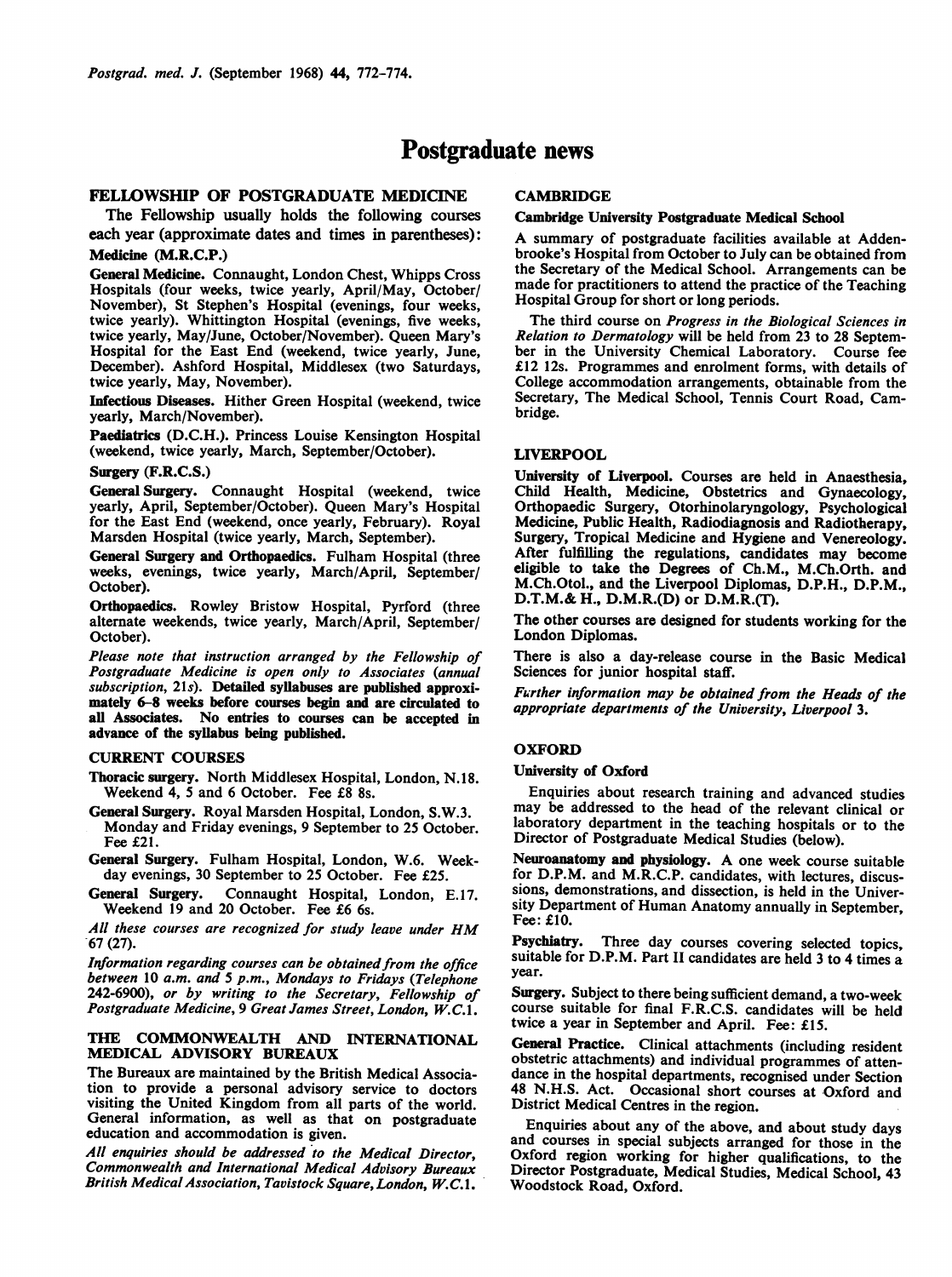# Postgraduate news

## FELLOWSHIP OF POSTGRADUATE MEDICINE

The Fellowship usually holds the following courses each year (approximate dates and times in parentheses):

## Medicine (M.R.C.P.)

General Medicine. Connaught, London Chest, Whipps Cross Hospitals (four weeks, twice yearly, April/May, October/ November), St Stephen's Hospital (evenings, four weeks, twice yearly). Whittington Hospital (evenings, five weeks, twice yearly, May/June, October/November). Queen Mary's Hospital for the East End (weekend, twice yearly, June, December). Ashford Hospital, Middlesex (two Saturdays, twice yearly, May, November).

Infectious Diseases. Hither Green Hospital (weekend, twice yearly, March/November).

Paediatrics (D.C.H.). Princess Louise Kensington Hospital (weekend, twice yearly, March, September/October).

#### Surgery (F.R.C.S.)

General Surgery. Connaught Hospital (weekend, twice yearly, April, September/October). Queen Mary's Hospital for the East End (weekend, once yearly, February). Royal Marsden Hospital (twice yearly, March, September).

General Surgery and Orthopaedics. Fulham Hospital (three weeks, evenings, twice yearly, March/April, September/ October).

Orthopaedics. Rowley Bristow Hospital, Pyrford (three alternate weekends, twice yearly, March/April, September/ October).

Please note that instruction arranged by the Fellowship of Postgraduate Medicine is open only to Associates (annual subscription, 21s). Detailed syllabuses are published approximately 6-8 weeks before courses begin and are circulated to all Associates. No entries to courses can be accepted in advance of the syllabus being published.

#### CURRENT COURSES

- Thoracic surgery. North Middlesex Hospital, London, N.18. Weekend 4, 5 and 6 October. Fee £8 8s.
- General Surgery. Royal Marsden Hospital, London, S.W.3. Monday and Friday evenings, 9 September to 25 October. Fee £21.

General Surgery. Fulham Hospital, London, W.6. Weekday evenings, 30 September to 25 October. Fee £25.

General Surgery. Connaught Hospital, London, E.17. Weekend 19 and 20 October. Fee £6 6s.

All these courses are recognized for study leave under HM -67 (27).

Information regarding courses can be obtained from the office between 10 a.m. and 5 p.m., Mondays to Fridays (Telephone 242-6900), or by writing to the Secretary, Fellowship of Postgraduate Medicine, 9 Great James Street, London, W.C.1.

## THE COMMONWEALTH AND INTERNATIONAL MEDICAL ADVISORY BUREAUX

The Bureaux are maintained by the British Medical Association to provide a personal advisory service to doctors visiting the United Kingdom from all parts of the world. General information, as well as that on postgraduate education and accommodation is given.

All enquiries should be addressed to the Medical Director, Commonwealth and International Medical Advisory Bureaux British Medical Association, Tavistock Square, London, W.C.1.

### CAMBRIDGE

### Cambridge University Postgraduate Medical School

A summary of postgraduate facilities available at Addenbrooke's Hospital from October to July can be obtained from the Secretary of the Medical School. Arrangements can be made for practitioners to attend the practice of the Teaching Hospital Group for short or long periods.

The third course on Progress in the Biological Sciences in Relation to Dermatology will be held from 23 to 28 September in the University Chemical Laboratory. Course fee £12 12s. Programmes and enrolment forms, with details of College accommodation arrangements, obtainable from the Secretary, The Medical School, Tennis Court Road, Cambridge.

### LIVERPOOL

University of Liverpool. Courses are held in Anaesthesia, Child Health, Medicine, Obstetrics and Gynaecology, Orthopaedic Surgery, Otorhinolaryngology, Psychological Medicine, Public Health, Radiodiagnosis and Radiotherapy, Surgery, Tropical Medicine and Hygiene and Venereology. After fulfilling the regulations, candidates may become eligible to take the Degrees of Ch.M., M.Ch.Orth. and M.Ch.Otol., and the Liverpool Diplomas, D.P.H., D.P.M., D.T.M.& H., D.M.R.(D) or D.M.R.(T).

The other courses are designed for students working for the London Diplomas.

There is also a day-release course in the Basic Medical Sciences for junior hospital staff.

Further information may be obtained from the Heads of the appropriate departments of the University, Liverpool 3.

## **OXFORD**

### University of Oxford

Enquiries about research training and advanced studies may be addressed to the head of the relevant clinical or laboratory department in the teaching hospitals or to the Director of Postgraduate Medical Studies (below).

Neuroanatomy and physiology. A one week course suitable for D.P.M. and M.R.C.P. candidates, with lectures, discussions, demonstrations, and dissection, is held in the University Department of Human Anatomy annually in September, Fee: £10.

Psychiatry. Three day courses covering selected topics, suitable for D.P.M. Part II candidates are held <sup>3</sup> to 4 times a year.

Surgery. Subject to there being sufficient demand, a two-week course suitable for final F.R.C.S. candidates will be held twice a year in September and April. Fee: £15.

General Practice. Clinical attachments (including resident obstetric attachments) and individual programmes of attendance in the hospital departments, recognised under Section 48 N.H.S. Act. Occasional short courses at Oxford and District Medical Centres in the region.

Enquiries about any of the above, and about study days and courses in special subjects arranged for those in the Oxford region working for higher qualifications, to the Director Postgraduate, Medical Studies, Medical School, 43 Woodstock Road, Oxford.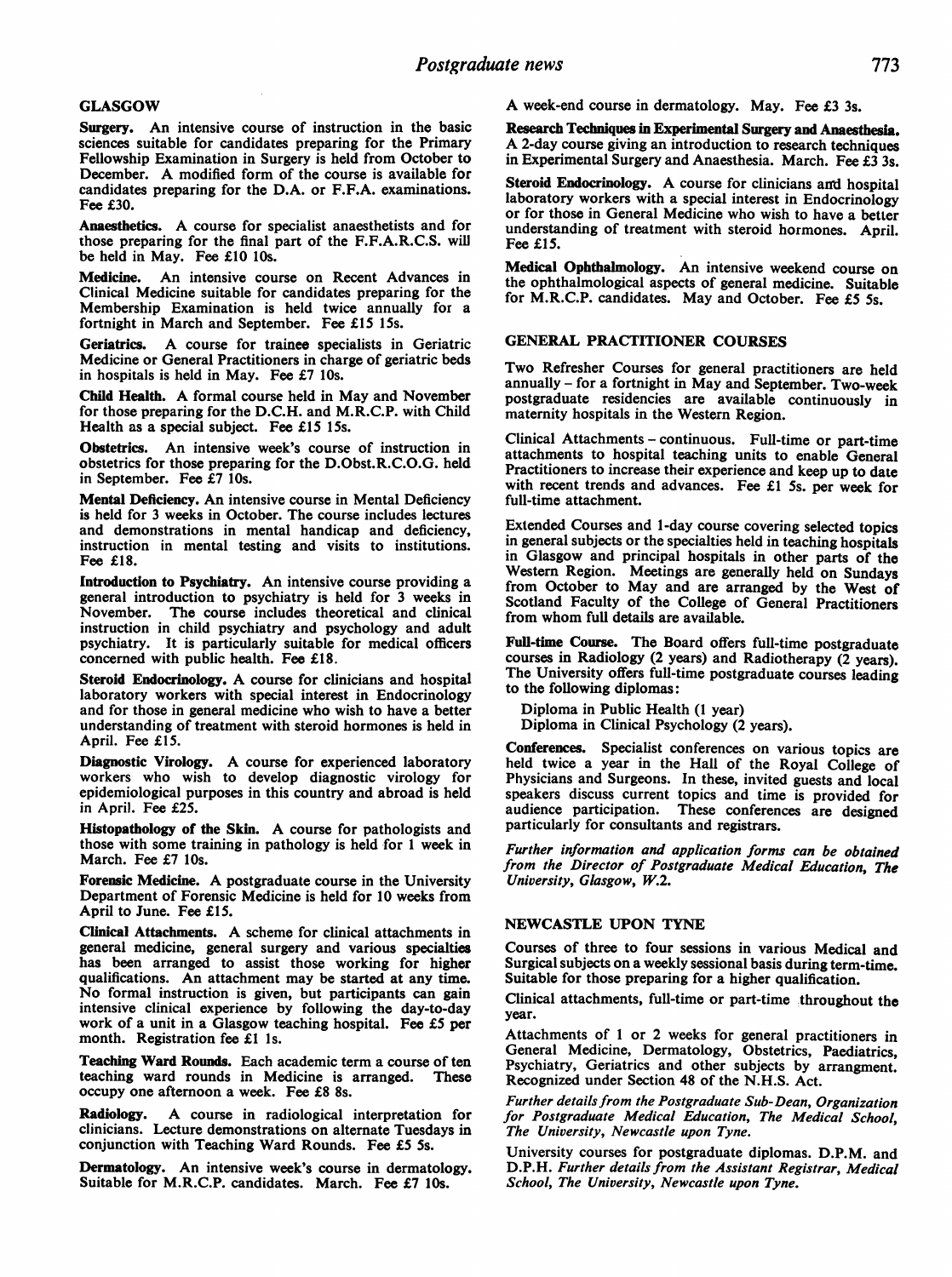### GLASGOW

Surgery. An intensive course of instruction in the basic sciences suitable for candidates preparing for the Primary Fellowship Examination in Surgery is held from October to December. A modified form of the course is available for candidates preparing for the D.A. or F.F.A. examinations. Fee £30.

Anaesthetics. A course for specialist anaesthetists and for those preparing for the final part of the F.F.A.R.C.S. will be held in May. Fee £10 10s.

Medicine. An intensive course on Recent Advances in Clinical Medicine suitable for candidates preparing for the Membership Examination is held twice annually for a fortnight in March and September. Fee £15 15s.

Geriatrics. A course for trainee specialists in Geriatric Medicine or General Practitioners in charge of geriatric beds in hospitals is held in May. Fee £7 10s.

Child Health. A formal course held in May and November for those preparing for the D.C.H. and M.R.C.P. with Child Health as a special subject. Fee £15 15s.

Obstetrics. An intensive week's course of instruction in obstetrics for those preparing for the D.Obst.R.C.O.G. held in September. Fee £7 10s.

Mental Deficiency. An intensive course in Mental Deficiency is held for 3 weeks in October. The course includes lectures and demonstrations in mental handicap and deficiency, instruction in mental testing and visits to institutions. Fee £18.

Introduction to Psychiatry. An intensive course providing a general introduction to psychiatry is held for 3 weeks in November. The course includes theoretical and clinical instruction in child psychiatry and psychology and adult psychiatry. It is particularly suitable for medical officers concerned with public health. Fee £18.

Steroid Endocrinology. A course for clinicians and hospital laboratory workers with special interest in Endocrinology and for those in general medicine who wish to have a better understanding of treatment with steroid hormones is held in April. Fee £15.

Diagnostic Virology. A course for experienced laboratory workers who wish to develop diagnostic virology for epidemiological purposes in this country and abroad is held in April. Fee £25.

Histopathology of the Skin. A course for pathologists and those with some training in pathology is held for 1 week in March. Fee £7 10s.

Forensic Medicine. A postgraduate course in the University Department of Forensic Medicine is held for 10 weeks from April to June. Fee £15.

Clinical Attachments. A scheme for clinical attachments in general medicine, general surgery and various specialties has been arranged to assist those working for higher qualifications. An attachment may be started at any time. No formal instruction is given, but participants can gain intensive clinical experience by following the day-to-day work of a unit in a Glasgow teaching hospital. Fee £5 per month. Registration fee £1 Is.

Teaching Ward Rounds. Each academic term a course of ten teaching ward rounds in Medicine is arranged. These occupy one afternoon a week. Fee £8 8s.

Radiology. A course in radiological interpretation for clinicians. Lecture demonstrations on alternate Tuesdays in conjunction with Teaching Ward Rounds. Fee £5 5s.

Dermatology. An intensive week's course in dermatology. Suitable for M.R.C.P. candidates. March. Fee £7 10s.

A week-end course in dermatology. May. Fee £3 3s.

Research Techniques in Experimental Surgery and Anaesthesia. A 2-day course giving an introduction to research techniques in Experimental Surgery and Anaesthesia. March. Fee £3 3s.

Steroid Endocrinology. A course for clinicians and hospital laboratory workers with a special interest in Endocrinology or for those in General Medicine who wish to have a better understanding of treatment with steroid hormones. April. Fee £15.

Medical Ophthalmology. An intensive weekend course on the ophthalmological aspects of general medicine. Suitable for M.R.C.P. candidates. May and October. Fee £5 5s.

### GENERAL PRACTITIONER COURSES

Two Refresher Courses for general practitioners are held annually - for a fortnight in May and September. Two-week postgraduate residencies are available continuously in maternity hospitals in the Western Region.

Clinical Attachments - continuous. Full-time or part-time attachments to hospital teaching units to enable General Practitioners to increase their experience and keep up to date with recent trends and advances. Fee £1 Ss. per week for full-time attachment.

Extended Courses and 1-day course covering selected topics in general subjects or the specialties held in teaching hospitals in Glasgow and principal hospitals in other parts of the Western Region. Meetings are generally held on Sundays from October to May and are arranged by the West of Scotland Faculty of the College of General Practitioners from whom full details are available.

Full-time Course. The Board offers full-time postgraduate courses in Radiology (2 years) and Radiotherapy (2 years). The University offers full-time postgraduate courses leading to the following diplomas:

Diploma in Public Health (1 year) Diploma in Clinical Psychology (2 years).

Conferences. Specialist conferences on various topics are

held twice a year in the Hall of the Royal College of Physicians and Surgeons. In these, invited guests and local speakers discuss current topics and time is provided for audience participation. These conferences are designed particularly for consultants and registrars.

Further information and application forms can be obtained from the Director of Postgraduate Medical Education, The University, Glasgow, W.2.

## NEWCASTLE UPON TYNE

Courses of three to four sessions in various Medical and Surgical subjects on a weekly sessional basis during term-time. Suitable for those preparing for a higher qualification.

Clinical attachments, full-time or part-time throughout the year.

Attachments of <sup>1</sup> or 2 weeks for general practitioners in General Medicine, Dermatology, Obstetrics, Paediatrics, Psychiatry, Geriatrics and other subjects by arrangment. Recognized under Section 48 of the N.H.S. Act.

Further details from the Postgraduate Sub-Dean, Organization for Postgraduate Medical Education, The Medical School, The University, Newcastle upon Tyne.

University courses for postgraduate diplomas. D.P.M. and D.P.H. Further details from the Assistant Registrar, Medical School, The University, Newcastle upon Tyne.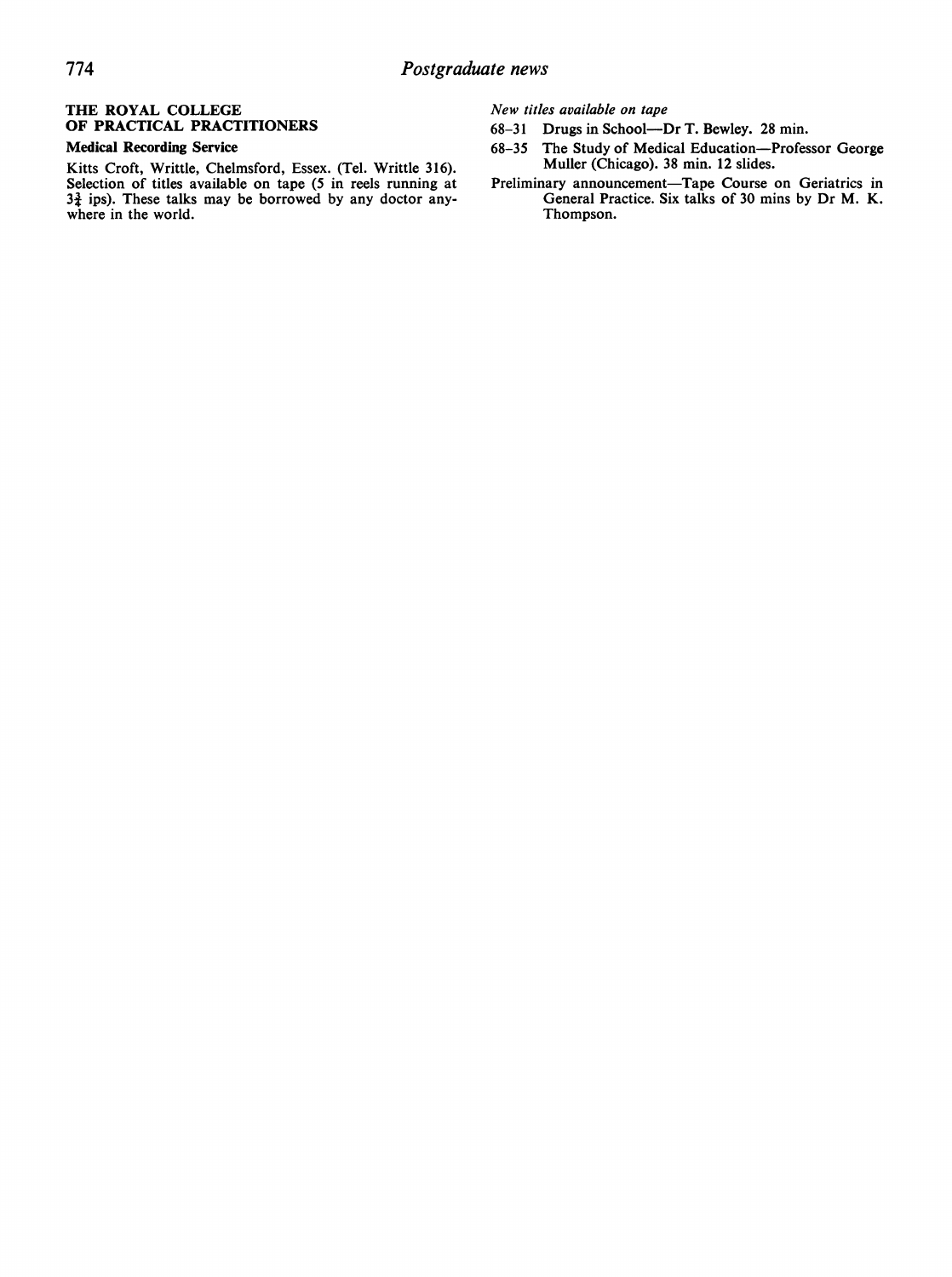## THE ROYAL COLLEGE OF PRACTICAL PRACTITIONERS

## Medical Recording Service

Kitts Croft, Writtle, Chelmsford, Essex. (Tel. Writtle 316). Selection of titles available on tape  $(5 \text{ in} \text{ reels running at } 3\frac{3}{4} \text{ ips})$ . These talks may be borrowed by any doctor anywhere in the world.

New titles available on tape

- 68-31 Drugs in School-Dr T. Bewley. 28 min.
- 68-35 The Study of Medical Education-Professor George Muller (Chicago). 38 min. 12 slides.
- Preliminary announcement-Tape Course on Geriatrics in General Practice. Six talks of 30 mins by Dr M. K. Thompson.